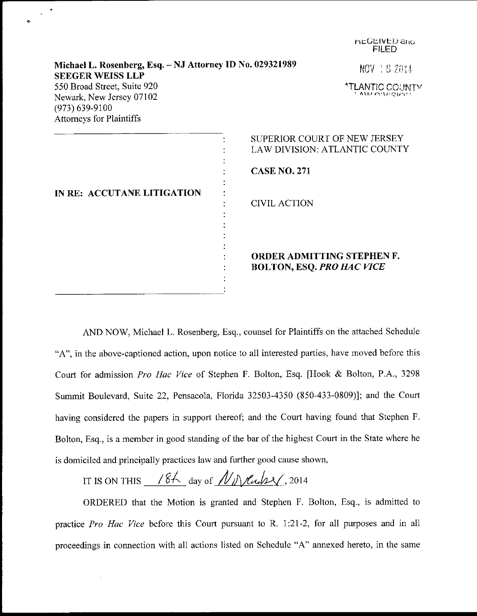|                                                                                                                  | <b>FILED</b>                                                   |
|------------------------------------------------------------------------------------------------------------------|----------------------------------------------------------------|
| Michael L. Rosenberg, Esq. - NJ Attorney ID No. 029321989<br><b>SEEGER WEISS LLP</b>                             | NOV 18 2014                                                    |
| 550 Broad Street, Suite 920<br>Newark, New Jersey 07102<br>$(973) 639 - 9100$<br><b>Attorneys for Plaintiffs</b> | <u>"TLANTIC COUNTY</u><br>1 AM MARCIAL                         |
|                                                                                                                  | SUPERIOR COURT OF NEW JERSEY<br>LAW DIVISION: ATLANTIC COUNTY  |
|                                                                                                                  | <b>CASE NO. 271</b>                                            |
| IN RE: ACCUTANE LITIGATION                                                                                       | <b>CIVIL ACTION</b>                                            |
|                                                                                                                  | ORDER ADMITTING STEPHEN F.<br><b>BOLTON, ESQ. PRO HAC VICE</b> |

hEUEIVED and

AND NOW, Michael L. Rosenberg, Esq., counsel for Plaintiffs on the attached Schedule "A", in the above-captioned action, upon notice to all interested parties, have moved before this Court for admission Pro Hac Vice of Stephen F. Bolton, Esq. [Hook & Bolton, P.A., 3298 Summit Boulevard, Suite 22, Pensacola, Florida 32503-4350 (850-433-0809)]; and the Court having considered the papers in support thereof; and the Court having found that Stephen F. Bolton, Esq., is a member in good standing of the bar of the highest Court in the State where he is domiciled and principally practices law and further good cause shown,

IT IS ON THIS  $/64$  day of  $/N_{\text{N}}$  lines (2014)

ORDERED that the Motion is granted and Stephen F. Bolton, Esq., is admitted to practice Pro Hac Vice before this Court pursuant to R. 1:21-2, for all purposes and in all proceedings in connection with all actions listed on Schedule "A" annexed hereto. in the same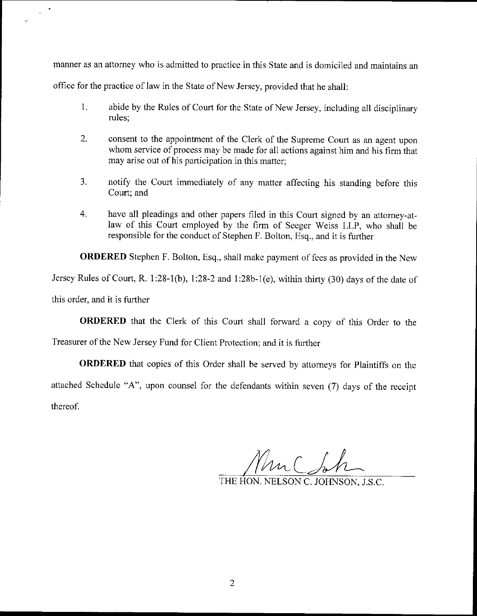manner as an attorney who is admitted to practice in this State and is domiciled and maintains an

office for the practice of law in the State of New Jersey, provided that he shall:

- 1. abide by the Rules of Court for the State of New Jersey, including all disciplinary rules;
- $2.$ consent to the appointment of the Clerk of the Supreme Court as an agent upon whom service of process may be made for all actions against him and his firm that may arise out of his participation in this matter;
- $3<sub>1</sub>$ notify the Court immediately of any matter affecting his standing before this Court; and
- 4. have all pleadings and other papers filed in this Court signed by an attorney-atlaw of this Court employed by the firm of Seeger Weiss LLp, who shall be responsible for the conduct of Stephen F. Bolton, Esq.. and it is further

ORDERED Stephen F. Bolton, Esq., shall make payment of fees as provided in the New

Jersey Rules of Court, R. 1:28-1(b), 1:28-2 and 1:28b-1(e), within thirty (30) days of the date of

this order. and it is further

ORDERED that the Clerk of this Court shall forward a copy of this Order to the

Treasurer of the New Jersey Fund for Client Protection; and it is further

ORDERED that copies of this Order shall be served by attomeys for Plaintiffs on the attached Schedule "A", upon counsel for the defendants within seven (7) days of the receipt thereof.

Mur(h

THE HON. NELSON C. JOHNSON, J.S.C.